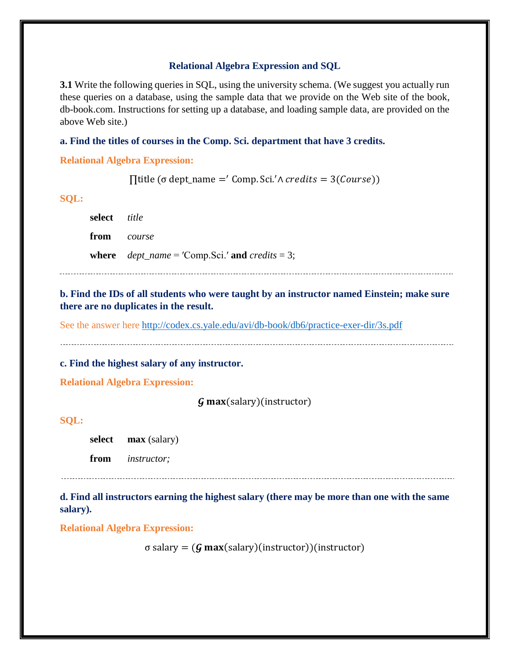## **Relational Algebra Expression and SQL**

**3.1** Write the following queries in SQL, using the university schema. (We suggest you actually run these queries on a database, using the sample data that we provide on the Web site of the book, db-book.com. Instructions for setting up a database, and loading sample data, are provided on the above Web site.)

## **a. Find the titles of courses in the Comp. Sci. department that have 3 credits.**

**Relational Algebra Expression:**

 $\prod$ title (σ dept\_name =' Comp. Sci.' $\land$  credits = 3(Course))

**SQL:**

| select <i>title</i> |                                                     |
|---------------------|-----------------------------------------------------|
| <b>from</b> course  |                                                     |
|                     | where $dept\_name = 'Comp.Sci.'$ and $credits = 3;$ |

**b. Find the IDs of all students who were taught by an instructor named Einstein; make sure there are no duplicates in the result.** 

See the answer here<http://codex.cs.yale.edu/avi/db-book/db6/practice-exer-dir/3s.pdf>

**c. Find the highest salary of any instructor.** 

**Relational Algebra Expression:**

 $\mathbf{G}$  max(salary)(instructor)

**SQL:**

**salary).** 

**select max** (salary)

**from** *instructor;*

**d. Find all instructors earning the highest salary (there may be more than one with the same** 

**Relational Algebra Expression:**

σ salary =  $(***G*** max(salary)(instructor))$ (instructor)